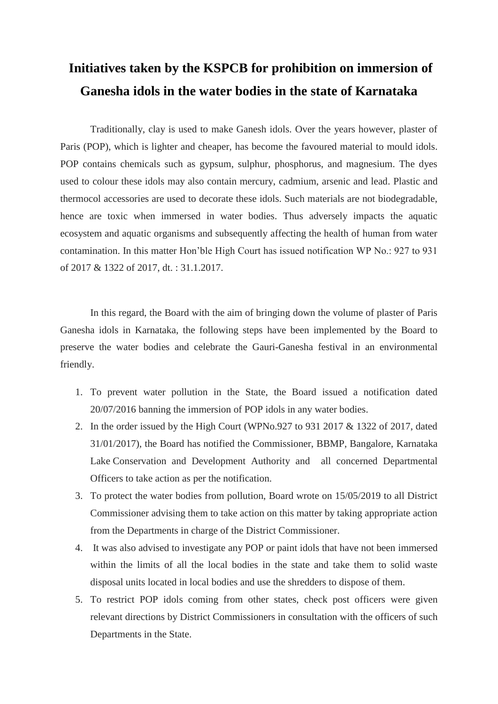## **Initiatives taken by the KSPCB for prohibition on immersion of Ganesha idols in the water bodies in the state of Karnataka**

Traditionally, clay is used to make Ganesh idols. Over the years however, plaster of Paris (POP), which is lighter and cheaper, has become the favoured material to mould idols. POP contains chemicals such as gypsum, sulphur, phosphorus, and magnesium. The dyes used to colour these idols may also contain mercury, cadmium, arsenic and lead. Plastic and thermocol accessories are used to decorate these idols. Such materials are not biodegradable, hence are toxic when immersed in water bodies. Thus adversely impacts the aquatic ecosystem and aquatic organisms and subsequently affecting the health of human from water contamination. In this matter Hon'ble High Court has issued notification WP No.: 927 to 931 of 2017 & 1322 of 2017, dt. : 31.1.2017.

In this regard, the Board with the aim of bringing down the volume of plaster of Paris Ganesha idols in Karnataka, the following steps have been implemented by the Board to preserve the water bodies and celebrate the Gauri-Ganesha festival in an environmental friendly.

- 1. To prevent water pollution in the State, the Board issued a notification dated 20/07/2016 banning the immersion of POP idols in any water bodies.
- 2. In the order issued by the High Court (WPNo.927 to 931 2017 & 1322 of 2017, dated 31/01/2017), the Board has notified the Commissioner, BBMP, Bangalore, Karnataka Lake Conservation and Development Authority and all concerned Departmental Officers to take action as per the notification.
- 3. To protect the water bodies from pollution, Board wrote on 15/05/2019 to all District Commissioner advising them to take action on this matter by taking appropriate action from the Departments in charge of the District Commissioner.
- 4. It was also advised to investigate any POP or paint idols that have not been immersed within the limits of all the local bodies in the state and take them to solid waste disposal units located in local bodies and use the shredders to dispose of them.
- 5. To restrict POP idols coming from other states, check post officers were given relevant directions by District Commissioners in consultation with the officers of such Departments in the State.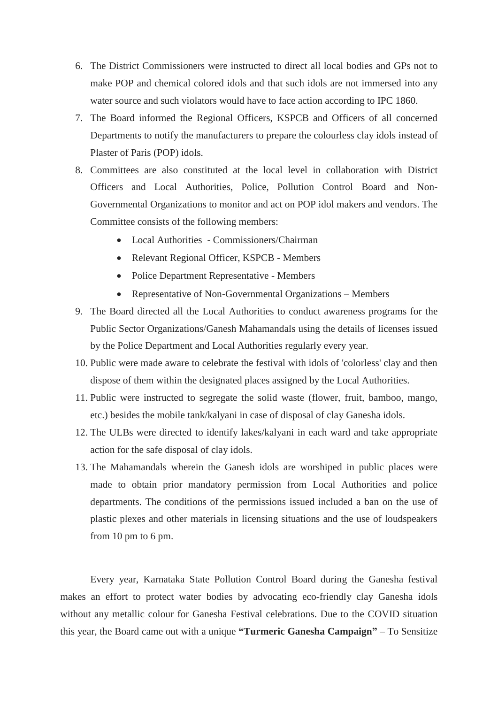- 6. The District Commissioners were instructed to direct all local bodies and GPs not to make POP and chemical colored idols and that such idols are not immersed into any water source and such violators would have to face action according to IPC 1860.
- 7. The Board informed the Regional Officers, KSPCB and Officers of all concerned Departments to notify the manufacturers to prepare the colourless clay idols instead of Plaster of Paris (POP) idols.
- 8. Committees are also constituted at the local level in collaboration with District Officers and Local Authorities, Police, Pollution Control Board and Non-Governmental Organizations to monitor and act on POP idol makers and vendors. The Committee consists of the following members:
	- Local Authorities Commissioners/Chairman
	- Relevant Regional Officer, KSPCB Members
	- Police Department Representative Members
	- Representative of Non-Governmental Organizations Members
- 9. The Board directed all the Local Authorities to conduct awareness programs for the Public Sector Organizations/Ganesh Mahamandals using the details of licenses issued by the Police Department and Local Authorities regularly every year.
- 10. Public were made aware to celebrate the festival with idols of 'colorless' clay and then dispose of them within the designated places assigned by the Local Authorities.
- 11. Public were instructed to segregate the solid waste (flower, fruit, bamboo, mango, etc.) besides the mobile tank/kalyani in case of disposal of clay Ganesha idols.
- 12. The ULBs were directed to identify lakes/kalyani in each ward and take appropriate action for the safe disposal of clay idols.
- 13. The Mahamandals wherein the Ganesh idols are worshiped in public places were made to obtain prior mandatory permission from Local Authorities and police departments. The conditions of the permissions issued included a ban on the use of plastic plexes and other materials in licensing situations and the use of loudspeakers from 10 pm to 6 pm.

Every year, Karnataka State Pollution Control Board during the Ganesha festival makes an effort to protect water bodies by advocating eco-friendly clay Ganesha idols without any metallic colour for Ganesha Festival celebrations. Due to the COVID situation this year, the Board came out with a unique **"Turmeric Ganesha Campaign"** – To Sensitize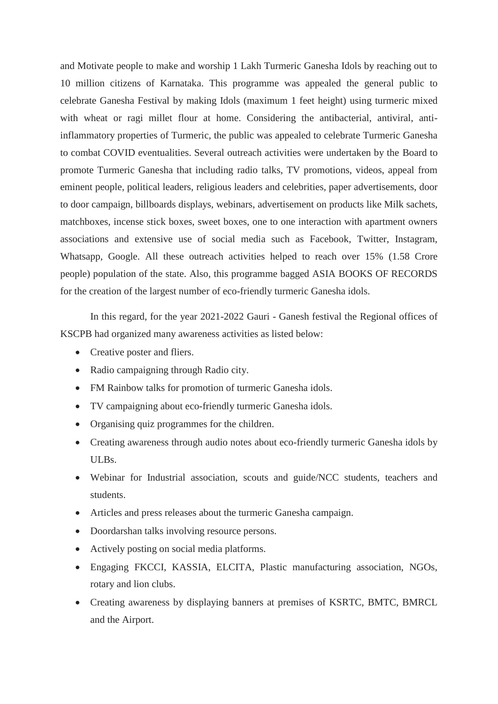and Motivate people to make and worship 1 Lakh Turmeric Ganesha Idols by reaching out to 10 million citizens of Karnataka. This programme was appealed the general public to celebrate Ganesha Festival by making Idols (maximum 1 feet height) using turmeric mixed with wheat or ragi millet flour at home. Considering the antibacterial, antiviral, antiinflammatory properties of Turmeric, the public was appealed to celebrate Turmeric Ganesha to combat COVID eventualities. Several outreach activities were undertaken by the Board to promote Turmeric Ganesha that including radio talks, TV promotions, videos, appeal from eminent people, political leaders, religious leaders and celebrities, paper advertisements, door to door campaign, billboards displays, webinars, advertisement on products like Milk sachets, matchboxes, incense stick boxes, sweet boxes, one to one interaction with apartment owners associations and extensive use of social media such as Facebook, Twitter, Instagram, Whatsapp, Google. All these outreach activities helped to reach over 15% (1.58 Crore people) population of the state. Also, this programme bagged ASIA BOOKS OF RECORDS for the creation of the largest number of eco-friendly turmeric Ganesha idols.

In this regard, for the year 2021-2022 Gauri - Ganesh festival the Regional offices of KSCPB had organized many awareness activities as listed below:

- Creative poster and fliers.
- Radio campaigning through Radio city.
- FM Rainbow talks for promotion of turmeric Ganesha idols.
- TV campaigning about eco-friendly turmeric Ganesha idols.
- Organising quiz programmes for the children.
- Creating awareness through audio notes about eco-friendly turmeric Ganesha idols by ULBs.
- Webinar for Industrial association, scouts and guide/NCC students, teachers and students.
- Articles and press releases about the turmeric Ganesha campaign.
- Doordarshan talks involving resource persons.
- Actively posting on social media platforms.
- Engaging FKCCI, KASSIA, ELCITA, Plastic manufacturing association, NGOs, rotary and lion clubs.
- Creating awareness by displaying banners at premises of KSRTC, BMTC, BMRCL and the Airport.